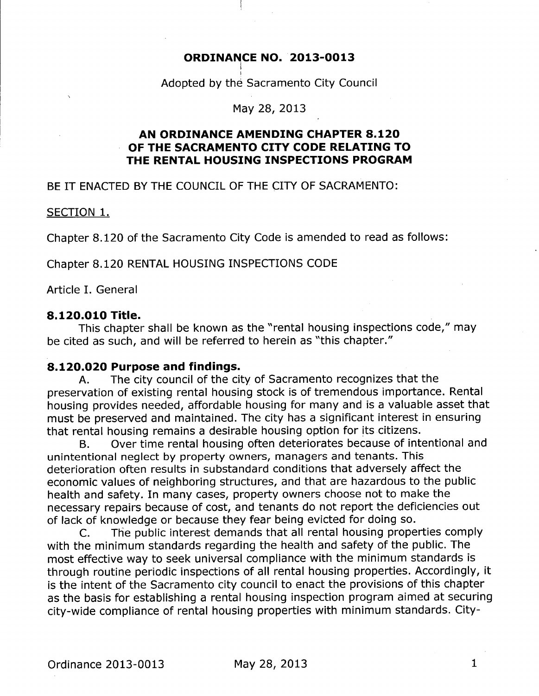## **ORDINANCE NO. 2013-0013**

Adopted by the Sacramento City Council

May 28, 2013

#### **AN ORDINANCE AMENDING CHAPTER 8.120 OF THE SACRAMENTO CITY CODE RELATING TO THE RENTAL HOUSING INSPECTIONS PROGRAM**

BE IT ENACTED BY THE COUNCIL OF THE CITY OF SACRAMENTO:

SECTION 1.

l.

Chapter 8.120 of the Sacramento City Code is amended to read as follows:

Chapter 8.120 RENTAL HOUSING INSPECTIONS CODE

Article I. General

#### **8.120.010 Title.**

This chapter shall be known as the "rental housing inspections code," may be cited as such, and will be referred to herein as "this chapter."

#### **8.120.020 Purpose and findings.**

A. The city council of the city of Sacramento recognizes that the preservation of existing rental housing stock is of tremendous importance. Rental housing provides needed, affordable housing for many and is a valuable asset that must be preserved and maintained. The city has a significant interest in ensuring that rental housing remains a desirable housing option for its citizens.

B. Over time rental housing often deteriorates because of intentional and unintentional neglect by property owners, managers and tenants. This deterioration often results in substandard conditions that adversely affect the economic values of neighboring structures, and that are hazardous to the public health and safety. In many cases, property owners choose not to make the necessary repairs because of cost, and tenants do not report the deficiencies out of lack of knowledge or because they fear being evicted for doing so.

C. The public interest demands that all rental housing properties comply with the minimum standards regarding the health and safety of the public. The most effective way to seek universal compliance with the minimum standards is through routine periodic inspections of all rental housing properties. Accordingly, it is the intent of the Sacramento city council to enact the provisions of this chapter as the basis for establishing a rental housing inspection program aimed at securing city-wide compliance of rental housing properties with minimum standards. City-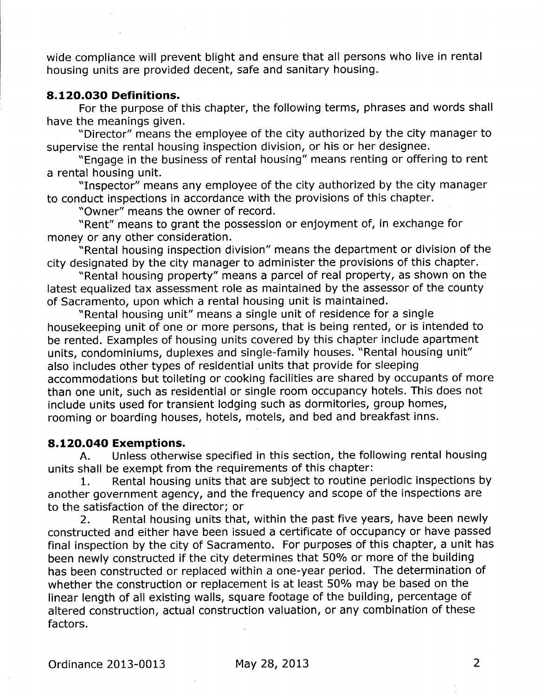wide compliance will prevent blight and ensure that all persons who live in rental housing units are provided decent, safe and sanitary housing.

#### **8.120.030 Definitions.**

For the purpose of this chapter, the following terms, phrases and words shall have the meanings given.

"Director" means the employee of the city authorized by the city manager to supervise the rental housing inspection division, or his or her designee.

"Engage in the business of rental housing" means renting or offering to rent a rental housing unit.

"Inspector" means any employee of the city authorized by the city manager to conduct inspections in accordance with the provisions of this chapter.

"Owner" means the owner of record.

"Rent" means to grant the possession or enjoyment of, in exchange for money or any other consideration.

"Rental housing inspection division" means the department or division of the city designated by the city manager to administer the provisions of this chapter.

"Rental housing property" means a parcel of real property, as shown on the latest equalized tax assessment role as maintained by the assessor of the county of Sacramento, upon which a rental housing unit is maintained.

"Rental housing unit" means a single unit of residence for a single housekeeping unit of one or more persons, that is being rented, or is intended to be rented. Examples of housing units covered by this chapter include apartment units, condominiums, duplexes and single-family houses. "Rental housing unit" also includes other types of residential units that provide for sleeping accommodations but toileting or cooking facilities are shared by occupants of more than one unit, such as residential or single room occupancy hotels. This does not include units used for transient lodging such as dormitories, group homes, rooming or boarding houses, hotels, motels, and bed and breakfast inns.

#### **8.120.040 Exemptions.**

A. Unless otherwise specified in this section, the following rental housing units shall be exempt from the requirements of this chapter:

1. Rental housing units that are subject to routine periodic inspections by another government agency, and the frequency and scope of the inspections are to the satisfaction of the director; or

2. Rental housing units that, within the past five years, have been newly constructed and either have been issued a certificate of occupancy or have passed final inspection by the city of Sacramento. For purposes of this chapter, a unit has been newly constructed if the city determines that 50% or more of the building has been constructed or replaced within a one-year period. The determination of whether the construction or replacement is at least 50% may be based on the linear length of all existing walls, square footage of the building, percentage of altered construction, actual construction valuation, or any combination of these factors.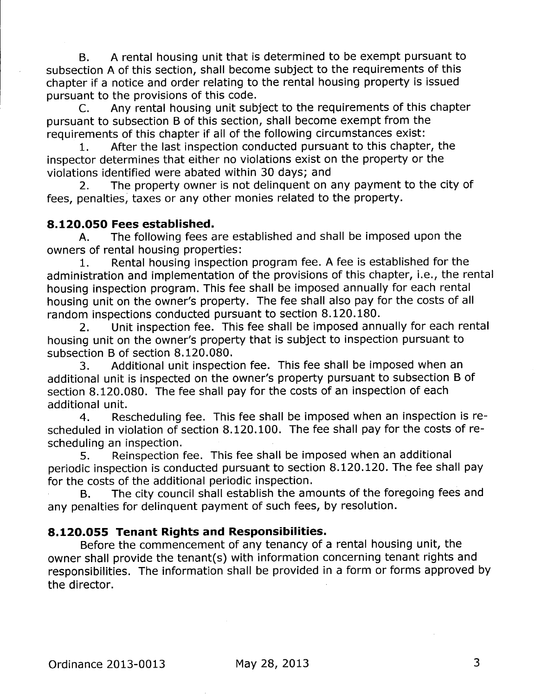B. A rental housing unit that is determined to be exempt pursuant to subsection A of this section, shall become subject to the requirements of this chapter if a notice and order relating to the rental housing property is issued pursuant to the provisions of this code.

C. Any rental housing unit subject to the requirements of this chapter pursuant to subsection B of this section, shall become exempt from the requirements of this chapter if all of the following circumstances exist:

1. After the last inspection conducted pursuant to this chapter, the inspector determines that either no violations exist on the property or the violations identified were abated within 30 days; and

2. The property owner is not delinquent on any payment to the city of fees, penalties, taxes or any other monies related to the property.

## **8.120.050 Fees established.**

A. The following fees are established and shall be imposed upon the owners of rental housing properties:

1. Rental housing inspection program fee. A fee is established for the administration and implementation of the provisions of this chapter, i.e., the rental housing inspection program. This fee shall be imposed annually for each rental housing unit on the owner's property. The fee shall also pay for the costs of all random inspections conducted pursuant to section 8.120.180.

2. Unit inspection fee. This fee shall be imposed annually for each rental housing unit on the owner's property that is subject to inspection pursuant to subsection B of section 8.120.080.

3. Additional unit inspection fee. This fee shall be imposed when an additional unit is inspected on the owner's property pursuant to subsection B of section 8.120.080. The fee shall pay for the costs of an inspection of each additional unit.

4. Rescheduling fee. This fee shall be imposed when an inspection is rescheduled in violation of section 8.120.100. The fee shall pay for the costs of rescheduling an inspection.

5. Reinspection fee. This fee shall be imposed when an additional periodic inspection is conducted pursuant to section 8.120.120. The fee shall pay for the costs of the additional periodic inspection.

B. The city council shall establish the amounts of the foregoing fees and any penalties for delinquent payment of such fees, by resolution.

# **8.120.055 Tenant Rights and Responsibilities.**

Before the commencement of any tenancy of a rental housing unit, the owner shall provide the tenant(s) with information concerning tenant rights and responsibilities. The information shall be provided in a form or forms approved by the director.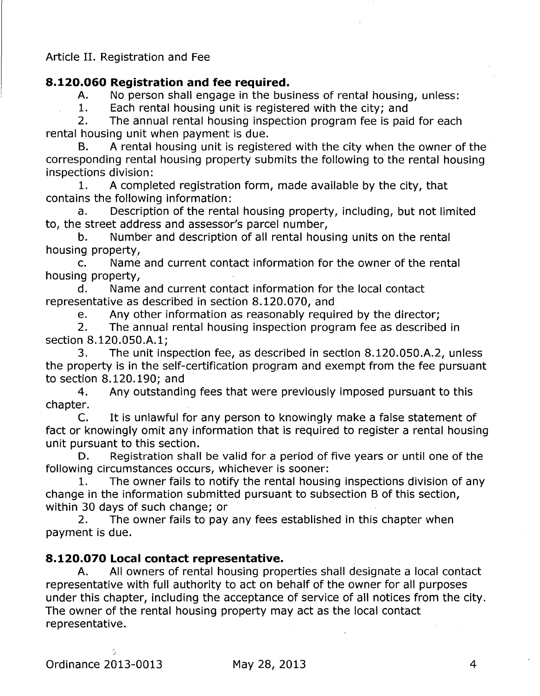Article II. Registration and Fee

#### **8.120.060 Registration and fee required.**

A. No person shall engage in the business of rental housing, unless:

1. Each rental housing unit is registered with the city; and

2. The annual rental housing inspection program fee is paid for each rental housing unit when payment is due.

B. A rental housing unit is registered with the city when the owner of the corresponding rental housing property submits the following to the rental housing inspections division:

1. A completed registration form, made available by the city, that contains the following information:

a. Description of the rental housing property, including, but not limited to, the street address and assessor's parcel number,

b. Number and description of all rental housing units on the rental housing property,

c. Name and current contact information for the owner of the rental housing property,

d. Name and current contact information for the local contact representative as described in section 8.120.070, and

e. Any other information as reasonably required by the director;

2. The annual rental housing inspection program fee as described in section 8.120.050.A.1;

3. The unit inspection fee, as described in section 8.120.050.A.2, unless the property is in the self-certification program and exempt from the fee pursuant to section 8.120.190; and

4. Any outstanding fees that were previously imposed pursuant to this chapter.

C. It is unlawful for any person to knowingly make a false statement of fact or knowingly omit any information that is required to register a rental housing unit pursuant to this section.

D. Registration shall be valid for a period of five years or until one of the following circumstances occurs, whichever is sooner:

1. The owner fails to notify the rental housing inspections division of any change in the information submitted pursuant to subsection B of this section, within 30 days of such change; or

2. The owner fails to pay any fees established in this chapter when payment is due.

## **8.120.070 Local contact representative.**

A. All owners of rental housing properties shall designate a local contact representative with full authority to act on behalf of the owner for all purposes under this chapter, including the acceptance of service of all notices from the city. The owner of the rental housing property may act as the local contact representative.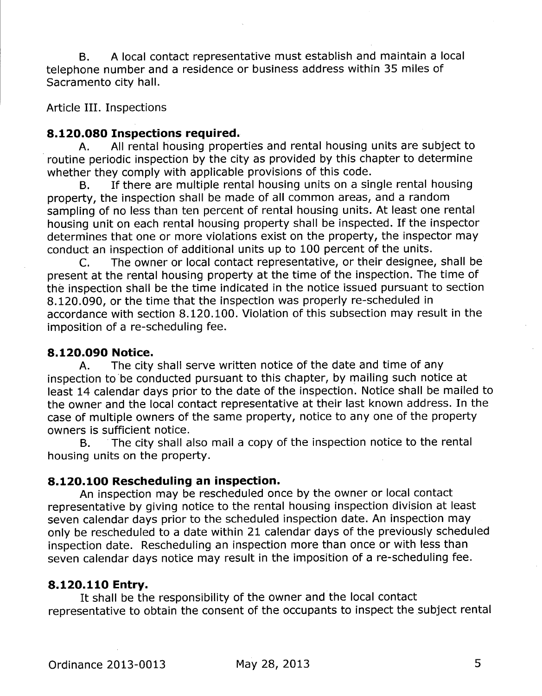B. A local contact representative must establish and maintain a local telephone number and a residence or business address within 35 miles of Sacramento city hall.

Article III. Inspections

# **8.120.080 Inspections required.**

A. All rental housing properties and rental housing units are subject to routine periodic inspection by the city as provided by this chapter to determine whether they comply with applicable provisions of this code.

B. If there are multiple rental housing units on a single rental housing property, the inspection shall be made of all common areas, and a random sampling of no less than ten percent of rental housing units. At least one rental housing unit on each rental housing property shall be inspected. If the inspector determines that one or more violations exist on the property, the inspector may conduct an inspection of additional units up to 100 percent of the units.

C. The owner or local contact representative, or their designee, shall be present at the rental housing property at the time of the inspection. The time of the inspection shall be the time indicated in the notice issued pursuant to section 8.120.090, or the time that the inspection was properly re-scheduled in accordance with section 8.120.100. Violation of this subsection may result in the imposition of a re-scheduling fee.

## **8.120.090 Notice.**

A. The city shall serve written notice of the date and time of any inspection to be conducted pursuant to this chapter, by mailing such notice at least 14 calendar days prior to the date of the inspection. Notice shall be mailed to the owner and the local contact representative at their last known address. In the case of multiple owners of the same property, notice to any one of the property owners is sufficient notice.

B. The city shall also mail a copy of the inspection notice to the rental housing units on the property.

## **8.120.100 Rescheduling an inspection.**

An inspection may be rescheduled once by the owner or local contact representative by giving notice to the rental housing inspection division at least seven calendar days prior to the scheduled inspection date. An inspection may only be rescheduled to a date within 21 calendar days of the previously scheduled inspection date. Rescheduling an inspection more than once or with less than seven calendar days notice may result in the imposition of a re-scheduling fee.

## **8.120.110 Entry.**

It shall be the responsibility of the owner and the local contact representative to obtain the consent of the occupants to inspect the subject rental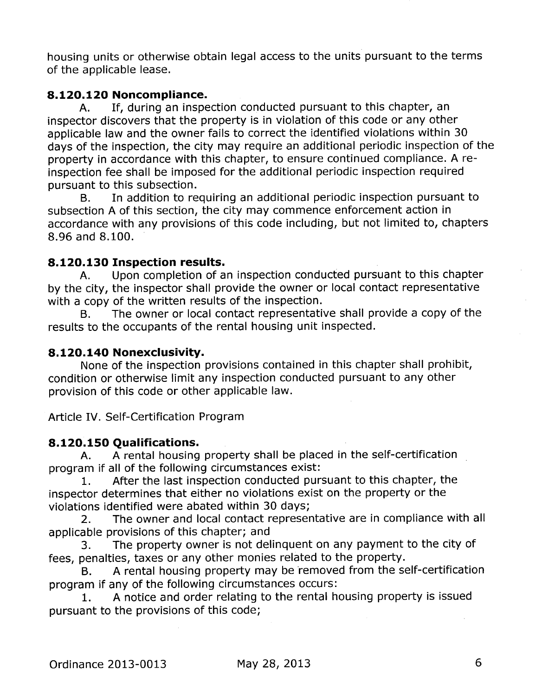housing units or otherwise obtain legal access to the units pursuant to the terms of the applicable lease.

# **8.120.120 Noncompliance.**

A. If, during an inspection conducted pursuant to this chapter, an inspector discovers that the property is in violation of this code or any other applicable law and the owner fails to correct the identified violations within 30 days of the inspection, the city may require an additional periodic inspection of the property in accordance with this chapter, to ensure continued compliance. A reinspection fee shall be imposed for the additional periodic inspection required pursuant to this subsection.

B. In addition to requiring an additional periodic inspection pursuant to subsection A of this section, the city may commence enforcement action in accordance with any provisions of this code including, but not limited to, chapters 8.96 and 8.100.

# **8.120.130 Inspection results.**

A. Upon completion of an inspection conducted pursuant to this chapter by the city, the inspector shall provide the owner or local contact representative with a copy of the written results of the inspection.

B. The owner or local contact representative shall provide a copy of the results to the occupants of the rental housing unit inspected.

## **8.120.140 Nonexclusivity.**

None of the inspection provisions contained in this chapter shall prohibit, condition or otherwise limit any inspection conducted pursuant to any other provision of this code or other applicable law.

Article IV. Self-Certification Program

## **8.120.150 Qualifications.**

A. A rental housing property shall be placed in the self-certification program if all of the following circumstances exist:

1. After the last inspection conducted pursuant to this chapter, the inspector determines that either no violations exist on the property or the violations identified were abated within 30 days;

2. The owner and local contact representative are in compliance with all applicable provisions of this chapter; and

3. The property owner is not delinquent on any payment to the city of fees, penalties, taxes or any other monies related to the property.

B. A rental housing property may be removed from the self-certification program if any of the following circumstances occurs:

1. A notice and order relating to the rental housing property is issued pursuant to the provisions of this code;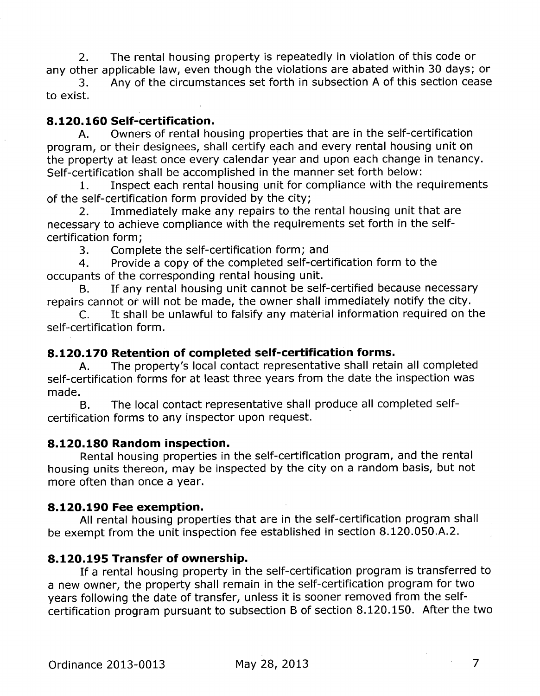2. The rental housing property is repeatedly in violation of this code or any other applicable law, even though the violations are abated within 30 days; or

3. Any of the circumstances set forth in subsection A of this section cease to exist.

# **8.120.160 Self-certification.**

A. Owners of rental housing properties that are in the self-certification program, or their designees, shall certify each and every rental housing unit on the property at least once every calendar year and upon each change in tenancy. Self-certification shall be accomplished in the manner set forth below:

1. Inspect each rental housing unit for compliance with the requirements of the self-certification form provided by the city;

2. Immediately make any repairs to the rental housing unit that are necessary to achieve compliance with the requirements set forth in the selfcertification form;

3. Complete the self-certification form; and

4. Provide a copy of the completed self-certification form to the occupants of the corresponding rental housing unit.

B. If any rental housing unit cannot be self-certified because necessary repairs cannot or will not be made, the owner shall immediately notify the city.

C. It shall be unlawful to falsify any material information required on the self-certification form.

## **8.120.170 Retention of completed self-certification forms.**

The property's local contact representative shall retain all completed self-certification forms for at least three years from the date the inspection was made

B. The local contact representative shall produce all completed selfcertification forms to any inspector upon request.

## **8.120.180 Random inspection.**

Rental housing properties in the self-certification program, and the rental housing units thereon, may be inspected by the city on a random basis, but not more often than once a year.

#### **8.120.190 Fee exemption.**

All rental housing properties that are in the self-certification program shall be exempt from the unit inspection fee established in section 8.120.050.A.2.

## **8.120.195 Transfer of ownership.**

If a rental housing property in the self-certification program is transferred to a new owner, the property shall remain in the self-certification program for two years following the date of transfer, unless it is sooner removed from the selfcertification program pursuant to subsection B of section 8.120.150. After the two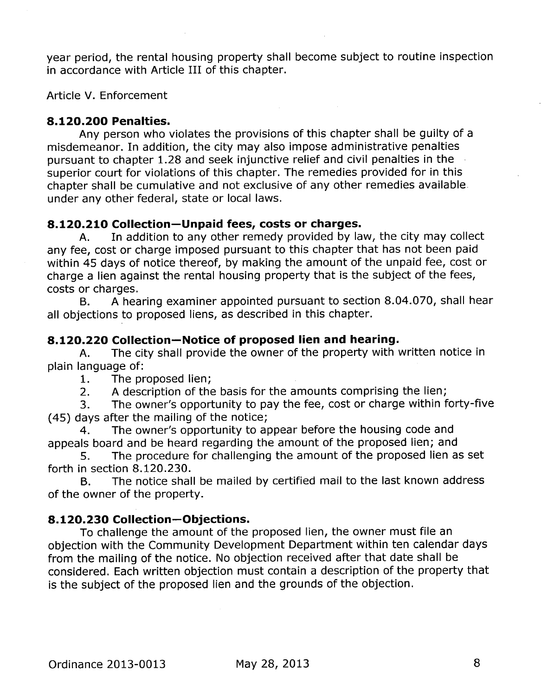year period, the rental housing property shall become subject to routine inspection in accordance with Article III of this chapter.

Article V. Enforcement

#### **8.120.200 Penalties.**

Any person who violates the provisions of this chapter shall be guilty of a misdemeanor. In addition, the city may also impose administrative penalties pursuant to chapter 1.28 and seek injunctive relief and civil penalties in the superior court for violations of this chapter. The remedies provided for in this chapter shall be cumulative and not exclusive of any other remedies available under any other federal, state or local laws.

#### **8.120.210 Collection—Unpaid fees, costs or charges.**

A. In addition to any other remedy provided by law, the city may collect any fee, cost or charge imposed pursuant to this chapter that has not been paid within 45 days of notice thereof, by making the amount of the unpaid fee, cost or charge a lien against the rental housing property that is the subject of the fees, costs or charges.

B. A hearing examiner appointed pursuant to section 8.04.070, shall hear all objections to proposed liens, as described in this chapter.

#### **8.120.220 Collection—Notice of proposed lien and hearing.**

A. The city shall provide the owner of the property with written notice in plain language of:

1. The proposed lien;

2. A description of the basis for the amounts comprising the lien;

3. The owner's opportunity to pay the fee, cost or charge within forty-five (45) days after the mailing of the notice;

4. The owner's opportunity to appear before the housing code and appeals board and be heard regarding the amount of the proposed lien; and

5. The procedure for challenging the amount of the proposed lien as set forth in section 8.120.230.

**B.** The notice shall be mailed by certified mail to the last known address of the owner of the property.

## **8.120.230 Collection—Objections.**

To challenge the amount of the proposed lien, the owner must file an objection with the Community Development Department within ten calendar days from the mailing of the notice. No objection received after that date shall be considered. Each written objection must contain a description of the property that is the subject of the proposed lien and the grounds of the objection.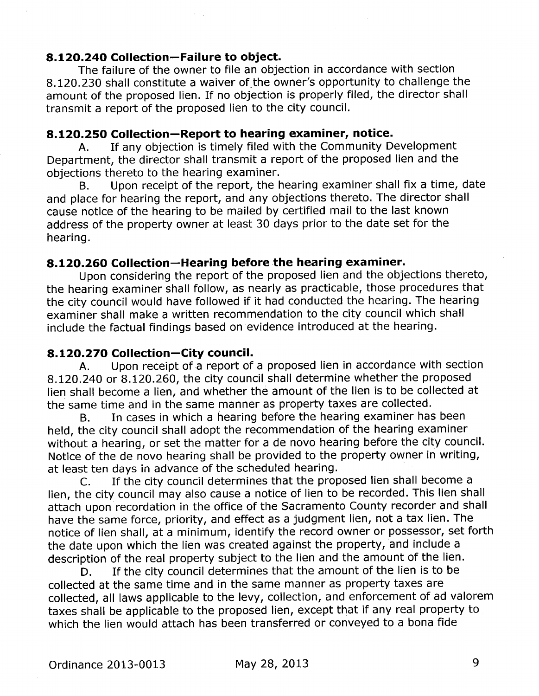## **8.120.240 Collection—Failure to object.**

The failure of the owner to file an objection in accordance with section 8.120.230 shall constitute a waiver of the owner's opportunity to challenge the amount of the proposed lien. If no objection is properly filed, the director shall transmit a report of the proposed lien to the city council.

#### **8.120.250 Collection—Report to hearing examiner, notice.**

A. If any objection is timely filed with the Community Development Department, the director shall transmit a report of the proposed lien and the objections thereto to the hearing examiner.

B. Upon receipt of the report, the hearing examiner shall fix a time, date and place for hearing the report, and any objections thereto. The director shall cause notice of the hearing to be mailed by certified mail to the last known address of the property owner at least 30 days prior to the date set for the hearing.

#### **8.120.260 Collection—Hearing before the hearing examiner.**

Upon considering the report of the proposed lien and the objections thereto, the hearing examiner shall follow, as nearly as practicable, those procedures that the city council would have followed if it had conducted the hearing. The hearing examiner shall make a written recommendation to the city council which shall include the factual findings based on evidence introduced at the hearing.

#### **8.120.270 Collection—City council.**

A. Upon receipt of a report of a proposed lien in accordance with section 8.120.240 or 8.120.260, the city council shall determine whether the proposed lien shall become a lien, and whether the amount of the lien is to be collected at the same time and in the same manner as property taxes are collected.

B. In cases in which a hearing before the hearing examiner has been held, the city council shall adopt the recommendation of the hearing examiner without a hearing, or set the matter for a de novo hearing before the city council. Notice of the de novo hearing shall be provided to the property owner in writing, at least ten days in advance of the scheduled hearing.

C. If the city council determines that the proposed lien shall become a lien, the city council may also cause a notice of lien to be recorded. This lien shall attach upon recordation in the office of the Sacramento County recorder and shall have the same force, priority, and effect as a judgment lien, not a tax lien. The notice of lien shall, at a minimum, identify the record owner or possessor, set forth the date upon which the lien was created against the property, and include a description of the real property subject to the lien and the amount of the lien.

D. If the city council determines that the amount of the lien is to be collected at the same time and in the same manner as property taxes are collected, all laws applicable to the levy, collection, and enforcement of ad valorem taxes shall be applicable to the proposed lien, except that if any real property to which the lien would attach has been transferred or conveyed to a bona fide